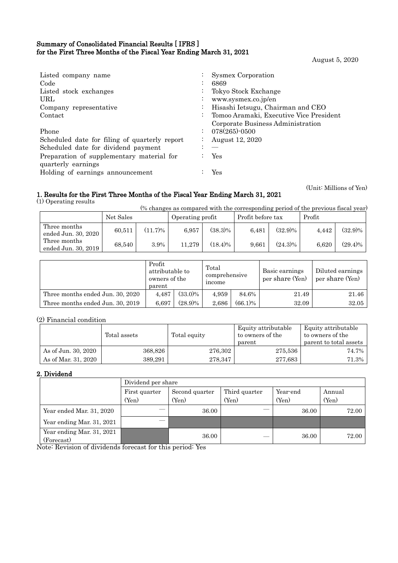### Summary of Consolidated Financial Results [ IFRS ] for the First Three Months of the Fiscal Year Ending March 31, 2021

August 5, 2020

(Unit: Millions of Yen)

| Listed company name<br>Code<br>Listed stock exchanges<br>URL<br>Company representative<br>Contact                                                                                                    | $\ddot{\phantom{0}}$<br>$\bullet$<br>$\mathbb{Z}^{\mathbb{Z}}$ | Sysmex Corporation<br>6869<br>Tokyo Stock Exchange<br>www.sysmex.co.jp/en<br>Hisashi Ietsugu, Chairman and CEO<br>Tomoo Aramaki, Executive Vice President |
|------------------------------------------------------------------------------------------------------------------------------------------------------------------------------------------------------|----------------------------------------------------------------|-----------------------------------------------------------------------------------------------------------------------------------------------------------|
| Phone<br>Scheduled date for filing of quarterly report<br>Scheduled date for dividend payment<br>Preparation of supplementary material for<br>quarterly earnings<br>Holding of earnings announcement | $\ddot{\phantom{a}}$                                           | Corporate Business Administration<br>$078(265)$ -0500<br>August 12, 2020<br><b>Yes</b><br>Yes                                                             |

## 1. Results for the First Three Months of the Fiscal Year Ending March 31, 2021

(1) Operating results

(% changes as compared with the corresponding period of the previous fiscal year)

|                                     | Net Sales |            | Operating profit |            | Profit before tax |            | Profit |            |
|-------------------------------------|-----------|------------|------------------|------------|-------------------|------------|--------|------------|
| Three months<br>ended Jun. 30, 2020 | 60.511    | $(11.7)\%$ | 6.957            | $(38.3)\%$ | 6.481             | $(32.9)\%$ | 4.442  | $(32.9)\%$ |
| Three months<br>ended Jun. 30, 2019 | 68.540    | 3.9%       | 11.279           | $(18.4)\%$ | 9.661             | $(24.3)\%$ | 6.620  | $(29.4)\%$ |

|                                  | Profit<br>attributable to<br>owners of the<br>parent |            | Total<br>comprehensive<br>income |            | Basic earnings<br>per share (Yen) | Diluted earnings<br>per share (Yen) |
|----------------------------------|------------------------------------------------------|------------|----------------------------------|------------|-----------------------------------|-------------------------------------|
| Three months ended Jun. 30, 2020 | 4.487                                                | $(33.0)\%$ | 4.959                            | 84.6%      | 21.49                             | 21.46                               |
| Three months ended Jun. 30, 2019 | 6.697                                                | $(28.9)\%$ | 2.686                            | $(66.1)\%$ | 32.09                             | 32.05                               |

## (2) Financial condition

|                     | Total assets | Total equity | Equity attributable<br>to owners of the<br>parent | Equity attributable<br>to owners of the<br>parent to total assets |
|---------------------|--------------|--------------|---------------------------------------------------|-------------------------------------------------------------------|
| As of Jun. 30, 2020 | 368,826      | 276,302      | 275,536                                           | 74.7%                                                             |
| As of Mar. 31, 2020 | 389.291      | 278.347      | 277,683                                           | 71.3%                                                             |

### 2. Dividend

|                                         | Dividend per share |                |               |          |        |  |
|-----------------------------------------|--------------------|----------------|---------------|----------|--------|--|
|                                         | First quarter      | Second quarter | Third quarter | Year-end | Annual |  |
|                                         | (Yen)              | (Yen)          | (Yen)         | (Yen)    | (Yen)  |  |
| Year ended Mar. 31, 2020                |                    | 36.00          |               | 36.00    | 72.00  |  |
| Year ending Mar. 31, 2021               |                    |                |               |          |        |  |
| Year ending Mar. 31, 2021<br>(Forecast) |                    | 36.00          |               | 36.00    | 72.00  |  |

Note: Revision of dividends forecast for this period: Yes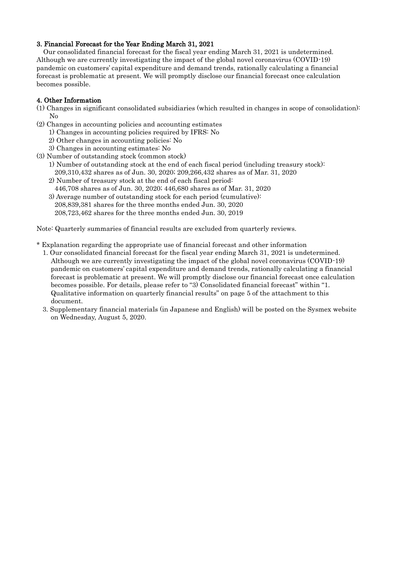## 3. Financial Forecast for the Year Ending March 31, 2021

Our consolidated financial forecast for the fiscal year ending March 31, 2021 is undetermined. Although we are currently investigating the impact of the global novel coronavirus (COVID-19) pandemic on customers' capital expenditure and demand trends, rationally calculating a financial forecast is problematic at present. We will promptly disclose our financial forecast once calculation becomes possible.

## 4. Other Information

(1) Changes in significant consolidated subsidiaries (which resulted in changes in scope of consolidation): No

- (2) Changes in accounting policies and accounting estimates
	- 1) Changes in accounting policies required by IFRS: No
	- 2) Other changes in accounting policies: No
	- 3) Changes in accounting estimates: No
- (3) Number of outstanding stock (common stock)
	- 1) Number of outstanding stock at the end of each fiscal period (including treasury stock): 209,310,432 shares as of Jun. 30, 2020; 209,266,432 shares as of Mar. 31, 2020
	- 2) Number of treasury stock at the end of each fiscal period:
	- 446,708 shares as of Jun. 30, 2020; 446,680 shares as of Mar. 31, 2020
	- 3) Average number of outstanding stock for each period (cumulative):
	- 208,839,381 shares for the three months ended Jun. 30, 2020
	- 208,723,462 shares for the three months ended Jun. 30, 2019

Note: Quarterly summaries of financial results are excluded from quarterly reviews.

- \* Explanation regarding the appropriate use of financial forecast and other information
	- 1. Our consolidated financial forecast for the fiscal year ending March 31, 2021 is undetermined. Although we are currently investigating the impact of the global novel coronavirus (COVID-19) pandemic on customers' capital expenditure and demand trends, rationally calculating a financial forecast is problematic at present. We will promptly disclose our financial forecast once calculation becomes possible. For details, please refer to "3) Consolidated financial forecast" within "1. Qualitative information on quarterly financial results" on page 5 of the attachment to this document.
	- 3. Supplementary financial materials (in Japanese and English) will be posted on the Sysmex website on Wednesday, August 5, 2020.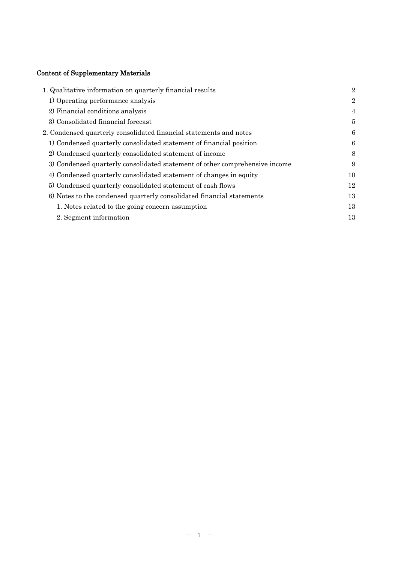# Content of Supplementary Materials

| 1. Qualitative information on quarterly financial results                   | $\overline{2}$ |
|-----------------------------------------------------------------------------|----------------|
| 1) Operating performance analysis                                           | $\overline{2}$ |
| 2) Financial conditions analysis                                            | $\overline{4}$ |
| 3) Consolidated financial forecast                                          | 5              |
| 2. Condensed quarterly consolidated financial statements and notes          | 6              |
| 1) Condensed quarterly consolidated statement of financial position         | 6              |
| 2) Condensed quarterly consolidated statement of income                     | 8              |
| 3) Condensed quarterly consolidated statement of other comprehensive income | 9              |
| 4) Condensed quarterly consolidated statement of changes in equity          | 10             |
| 5) Condensed quarterly consolidated statement of cash flows                 | 12             |
| 6) Notes to the condensed quarterly consolidated financial statements       | 13             |
| 1. Notes related to the going concern assumption                            | 13             |
| 2. Segment information                                                      | 13             |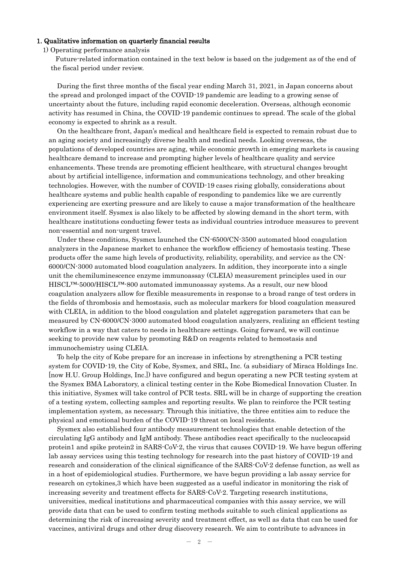#### 1. Qualitative information on quarterly financial results

1) Operating performance analysis

Future-related information contained in the text below is based on the judgement as of the end of the fiscal period under review.

During the first three months of the fiscal year ending March 31, 2021, in Japan concerns about the spread and prolonged impact of the COVID-19 pandemic are leading to a growing sense of uncertainty about the future, including rapid economic deceleration. Overseas, although economic activity has resumed in China, the COVID-19 pandemic continues to spread. The scale of the global economy is expected to shrink as a result.

On the healthcare front, Japan's medical and healthcare field is expected to remain robust due to an aging society and increasingly diverse health and medical needs. Looking overseas, the populations of developed countries are aging, while economic growth in emerging markets is causing healthcare demand to increase and prompting higher levels of healthcare quality and service enhancements. These trends are promoting efficient healthcare, with structural changes brought about by artificial intelligence, information and communications technology, and other breaking technologies. However, with the number of COVID-19 cases rising globally, considerations about healthcare systems and public health capable of responding to pandemics like we are currently experiencing are exerting pressure and are likely to cause a major transformation of the healthcare environment itself. Sysmex is also likely to be affected by slowing demand in the short term, with healthcare institutions conducting fewer tests as individual countries introduce measures to prevent non-essential and non-urgent travel.

Under these conditions, Sysmex launched the CN-6500/CN-3500 automated blood coagulation analyzers in the Japanese market to enhance the workflow efficiency of hemostasis testing. These products offer the same high levels of productivity, reliability, operability, and service as the CN-6000/CN-3000 automated blood coagulation analyzers. In addition, they incorporate into a single unit the chemiluminescence enzyme immunoassay (CLEIA) measurement principles used in our HISCL™-5000/HISCL™-800 automated immunoassay systems. As a result, our new blood coagulation analyzers allow for flexible measurements in response to a broad range of test orders in the fields of thrombosis and hemostasis, such as molecular markers for blood coagulation measured with CLEIA, in addition to the blood coagulation and platelet aggregation parameters that can be measured by CN-6000/CN-3000 automated blood coagulation analyzers, realizing an efficient testing workflow in a way that caters to needs in healthcare settings. Going forward, we will continue seeking to provide new value by promoting R&D on reagents related to hemostasis and immunochemistry using CLEIA.

To help the city of Kobe prepare for an increase in infections by strengthening a PCR testing system for COVID-19, the City of Kobe, Sysmex, and SRL, Inc. (a subsidiary of Miraca Holdings Inc. [now H.U. Group Holdings, Inc.]) have configured and begun operating a new PCR testing system at the Sysmex BMA Laboratory, a clinical testing center in the Kobe Biomedical Innovation Cluster. In this initiative, Sysmex will take control of PCR tests. SRL will be in charge of supporting the creation of a testing system, collecting samples and reporting results. We plan to reinforce the PCR testing implementation system, as necessary. Through this initiative, the three entities aim to reduce the physical and emotional burden of the COVID-19 threat on local residents.

Sysmex also established four antibody measurement technologies that enable detection of the circulating IgG antibody and IgM antibody. These antibodies react specifically to the nucleocapsid protein1 and spike protein2 in SARS-CoV-2, the virus that causes COVID-19. We have begun offering lab assay services using this testing technology for research into the past history of COVID-19 and research and consideration of the clinical significance of the SARS-CoV-2 defense function, as well as in a host of epidemiological studies. Furthermore, we have begun providing a lab assay service for research on cytokines,3 which have been suggested as a useful indicator in monitoring the risk of increasing severity and treatment effects for SARS-CoV-2. Targeting research institutions, universities, medical institutions and pharmaceutical companies with this assay service, we will provide data that can be used to confirm testing methods suitable to such clinical applications as determining the risk of increasing severity and treatment effect, as well as data that can be used for vaccines, antiviral drugs and other drug discovery research. We aim to contribute to advances in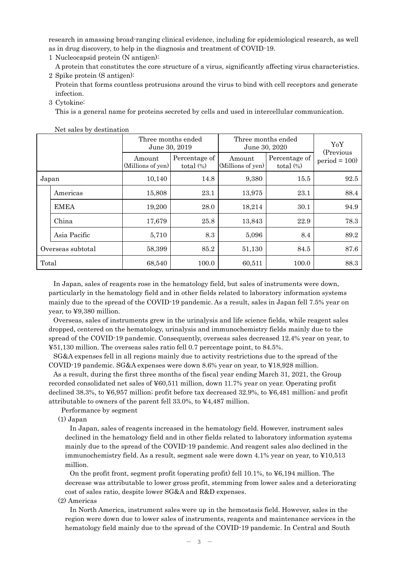research in amassing broad-ranging clinical evidence, including for epidemiological research, as well as in drug discovery, to help in the diagnosis and treatment of COVID-19.

1 Nucleocapsid protein (N antigen):

A protein that constitutes the core structure of a virus, significantly affecting virus characteristics. 2 Spike protein (S antigen):

Protein that forms countless protrusions around the virus to bind with cell receptors and generate infection.

3 Cytokine:

This is a general name for proteins secreted by cells and used in intercellular communication.

|                   |              | Three months ended<br>June 30, 2019 |                               | Three months ended<br>June 30, 2020 | YoY                           |                              |
|-------------------|--------------|-------------------------------------|-------------------------------|-------------------------------------|-------------------------------|------------------------------|
|                   |              | Amount<br>(Millions of yen)         | Percentage of<br>total $(\%)$ | Amount<br>(Millions of yen)         | Percentage of<br>total $(\%)$ | (Previous)<br>$period = 100$ |
| Japan             |              | 10,140                              | 14.8                          | 9,380                               | 15.5                          | 92.5                         |
|                   | Americas     | 15,808                              | 23.1                          | 13,975                              | 23.1                          | 88.4                         |
|                   | <b>EMEA</b>  | 19,200                              | 28.0                          | 18,214                              | 30.1                          | 94.9                         |
|                   | China        | 17,679                              | 25.8                          | 13,843                              | 22.9                          | 78.3                         |
|                   | Asia Pacific | 5,710                               | 8.3                           | 5,096                               | 8.4                           | 89.2                         |
| Overseas subtotal |              | 58,399                              | 85.2                          | 51,130                              | 84.5                          | 87.6                         |
| Total             |              | 68,540                              | 100.0                         | 60,511                              | 100.0                         | 88.3                         |

Net sales by destination

In Japan, sales of reagents rose in the hematology field, but sales of instruments were down, particularly in the hematology field and in other fields related to laboratory information systems mainly due to the spread of the COVID-19 pandemic. As a result, sales in Japan fell 7.5% year on year, to ¥9,380 million.

Overseas, sales of instruments grew in the urinalysis and life science fields, while reagent sales dropped, centered on the hematology, urinalysis and immunochemistry fields mainly due to the spread of the COVID-19 pandemic. Consequently, overseas sales decreased 12.4% year on year, to ¥51,130 million. The overseas sales ratio fell 0.7 percentage point, to 84.5%.

SG&A expenses fell in all regions mainly due to activity restrictions due to the spread of the COVID-19 pandemic. SG&A expenses were down 8.6% year on year, to ¥18,928 million.

As a result, during the first three months of the fiscal year ending March 31, 2021, the Group recorded consolidated net sales of ¥60,511 million, down 11.7% year on year. Operating profit declined 38.3%, to ¥6,957 million; profit before tax decreased 32.9%, to ¥6,481 million; and profit attributable to owners of the parent fell 33.0%, to ¥4,487 million.

Performance by segment

(1) Japan

In Japan, sales of reagents increased in the hematology field. However, instrument sales declined in the hematology field and in other fields related to laboratory information systems mainly due to the spread of the COVID-19 pandemic. And reagent sales also declined in the immunochemistry field. As a result, segment sale were down  $4.1\%$  year on year, to  $\text{\textless{}10,513}$ million.

On the profit front, segment profit (operating profit) fell 10.1%, to ¥6,194 million. The decrease was attributable to lower gross profit, stemming from lower sales and a deteriorating cost of sales ratio, despite lower SG&A and R&D expenses.

(2) Americas

In North America, instrument sales were up in the hemostasis field. However, sales in the region were down due to lower sales of instruments, reagents and maintenance services in the hematology field mainly due to the spread of the COVID-19 pandemic. In Central and South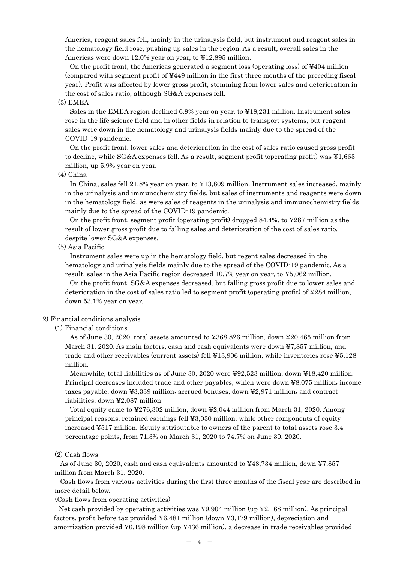America, reagent sales fell, mainly in the urinalysis field, but instrument and reagent sales in the hematology field rose, pushing up sales in the region. As a result, overall sales in the Americas were down 12.0% year on year, to ¥12,895 million.

On the profit front, the Americas generated a segment loss (operating loss) of ¥404 million (compared with segment profit of ¥449 million in the first three months of the preceding fiscal year). Profit was affected by lower gross profit, stemming from lower sales and deterioration in the cost of sales ratio, although SG&A expenses fell.

#### (3) EMEA

Sales in the EMEA region declined 6.9% year on year, to ¥18,231 million. Instrument sales rose in the life science field and in other fields in relation to transport systems, but reagent sales were down in the hematology and urinalysis fields mainly due to the spread of the COVID-19 pandemic.

On the profit front, lower sales and deterioration in the cost of sales ratio caused gross profit to decline, while SG&A expenses fell. As a result, segment profit (operating profit) was ¥1,663 million, up 5.9% year on year.

(4) China

In China, sales fell 21.8% year on year, to ¥13,809 million. Instrument sales increased, mainly in the urinalysis and immunochemistry fields, but sales of instruments and reagents were down in the hematology field, as were sales of reagents in the urinalysis and immunochemistry fields mainly due to the spread of the COVID-19 pandemic.

On the profit front, segment profit (operating profit) dropped  $84.4\%$ , to  $\text{\textless}287$  million as the result of lower gross profit due to falling sales and deterioration of the cost of sales ratio, despite lower SG&A expenses.

### (5) Asia Pacific

Instrument sales were up in the hematology field, but regent sales decreased in the hematology and urinalysis fields mainly due to the spread of the COVID-19 pandemic. As a result, sales in the Asia Pacific region decreased 10.7% year on year, to ¥5,062 million. On the profit front, SG&A expenses decreased, but falling gross profit due to lower sales and

deterioration in the cost of sales ratio led to segment profit (operating profit) of ¥284 million, down 53.1% year on year.

#### 2) Financial conditions analysis

(1) Financial conditions

As of June 30, 2020, total assets amounted to ¥368,826 million, down ¥20,465 million from March 31, 2020. As main factors, cash and cash equivalents were down ¥7,857 million, and trade and other receivables (current assets) fell ¥13,906 million, while inventories rose ¥5,128 million.

Meanwhile, total liabilities as of June 30, 2020 were ¥92,523 million, down ¥18,420 million. Principal decreases included trade and other payables, which were down ¥8,075 million; income taxes payable, down ¥3,339 million; accrued bonuses, down ¥2,971 million; and contract liabilities, down ¥2,087 million.

Total equity came to ¥276,302 million, down ¥2,044 million from March 31, 2020. Among principal reasons, retained earnings fell ¥3,030 million, while other components of equity increased ¥517 million. Equity attributable to owners of the parent to total assets rose 3.4 percentage points, from 71.3% on March 31, 2020 to 74.7% on June 30, 2020.

#### (2) Cash flows

As of June 30, 2020, cash and cash equivalents amounted to ¥48,734 million, down ¥7,857 million from March 31, 2020.

Cash flows from various activities during the first three months of the fiscal year are described in more detail below.

(Cash flows from operating activities)

Net cash provided by operating activities was ¥9,904 million (up ¥2,168 million). As principal factors, profit before tax provided ¥6,481 million (down ¥3,179 million), depreciation and amortization provided ¥6,198 million (up ¥436 million), a decrease in trade receivables provided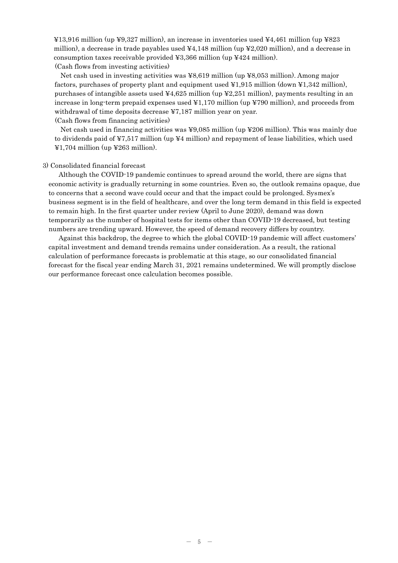¥13,916 million (up ¥9,327 million), an increase in inventories used ¥4,461 million (up ¥823 million), a decrease in trade payables used  $\frac{1}{4}4,148$  million (up  $\frac{1}{2}2,020$  million), and a decrease in consumption taxes receivable provided  $\yen$ 3,366 million (up  $\yen$ 424 million). (Cash flows from investing activities)

Net cash used in investing activities was ¥8,619 million (up ¥8,053 million). Among major factors, purchases of property plant and equipment used ¥1,915 million (down ¥1,342 million), purchases of intangible assets used  $44,625$  million (up  $42,251$  million), payments resulting in an increase in long-term prepaid expenses used ¥1,170 million (up ¥790 million), and proceeds from withdrawal of time deposits decrease ¥7,187 million year on year.

(Cash flows from financing activities)

Net cash used in financing activities was ¥9,085 million (up ¥206 million). This was mainly due to dividends paid of  $\yen$ 7,517 million (up  $\yen$ 4 million) and repayment of lease liabilities, which used  $\text{\textsterling}1,704$  million (up  $\text{\textsterling}263$  million).

#### 3) Consolidated financial forecast

Although the COVID-19 pandemic continues to spread around the world, there are signs that economic activity is gradually returning in some countries. Even so, the outlook remains opaque, due to concerns that a second wave could occur and that the impact could be prolonged. Sysmex's business segment is in the field of healthcare, and over the long term demand in this field is expected to remain high. In the first quarter under review (April to June 2020), demand was down temporarily as the number of hospital tests for items other than COVID-19 decreased, but testing numbers are trending upward. However, the speed of demand recovery differs by country.

Against this backdrop, the degree to which the global COVID-19 pandemic will affect customers' capital investment and demand trends remains under consideration. As a result, the rational calculation of performance forecasts is problematic at this stage, so our consolidated financial forecast for the fiscal year ending March 31, 2021 remains undetermined. We will promptly disclose our performance forecast once calculation becomes possible.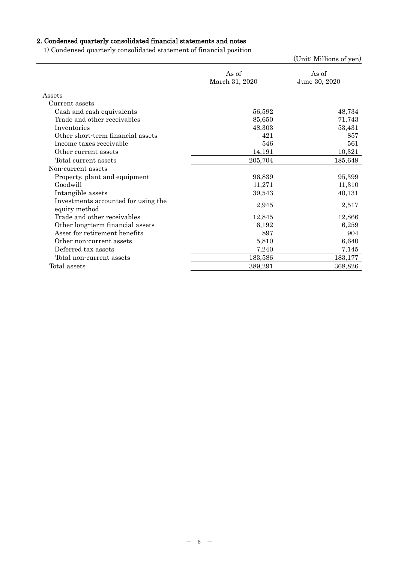# 2. Condensed quarterly consolidated financial statements and notes

1) Condensed quarterly consolidated statement of financial position

|                                                      |                         | (Unit: Millions of yen) |
|------------------------------------------------------|-------------------------|-------------------------|
|                                                      | As of<br>March 31, 2020 | As of<br>June 30, 2020  |
| Assets                                               |                         |                         |
| Current assets                                       |                         |                         |
| Cash and cash equivalents                            | 56,592                  | 48,734                  |
| Trade and other receivables                          | 85,650                  | 71,743                  |
| Inventories                                          | 48,303                  | 53,431                  |
| Other short-term financial assets                    | 421                     | 857                     |
| Income taxes receivable                              | 546                     | 561                     |
| Other current assets                                 | 14,191                  | 10,321                  |
| Total current assets                                 | 205,704                 | 185,649                 |
| Non-current assets                                   |                         |                         |
| Property, plant and equipment                        | 96,839                  | 95,399                  |
| Goodwill                                             | 11,271                  | 11,310                  |
| Intangible assets                                    | 39,543                  | 40,131                  |
| Investments accounted for using the<br>equity method | 2,945                   | 2,517                   |
| Trade and other receivables                          | 12,845                  | 12,866                  |
| Other long-term financial assets                     | 6,192                   | 6,259                   |
| Asset for retirement benefits                        | 897                     | 904                     |
| Other non-current assets                             | 5,810                   | 6,640                   |
| Deferred tax assets                                  | 7,240                   | 7,145                   |
| Total non-current assets                             | 183,586                 | 183,177                 |
| Total assets                                         | 389,291                 | 368,826                 |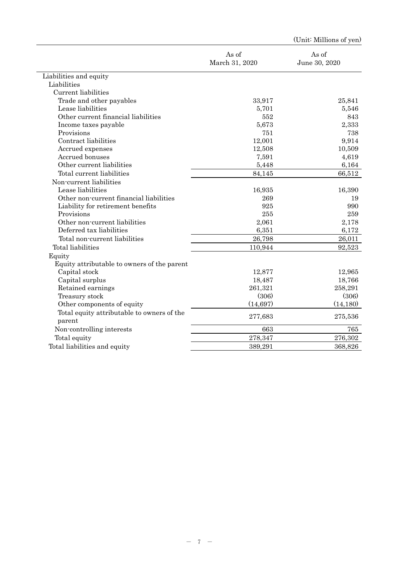|                                             |                         | (Unit: Millions of yen) |
|---------------------------------------------|-------------------------|-------------------------|
|                                             | As of<br>March 31, 2020 | As of<br>June 30, 2020  |
| Liabilities and equity                      |                         |                         |
| Liabilities                                 |                         |                         |
| Current liabilities                         |                         |                         |
| Trade and other payables                    | 33,917                  | 25,841                  |
| Lease liabilities                           | 5,701                   | 5,546                   |
| Other current financial liabilities         | 552                     | 843                     |
| Income taxes payable                        | 5,673                   | 2,333                   |
| Provisions                                  | 751                     | 738                     |
| Contract liabilities                        | 12,001                  | 9,914                   |
| Accrued expenses                            | 12,508                  | 10,509                  |
| Accrued bonuses                             | 7,591                   | 4,619                   |
| Other current liabilities                   | 5,448                   | 6,164                   |
| Total current liabilities                   | 84,145                  | 66,512                  |
| Non-current liabilities                     |                         |                         |
| Lease liabilities                           | 16,935                  | 16,390                  |
| Other non-current financial liabilities     | 269                     | 19                      |
| Liability for retirement benefits           | 925                     | 990                     |
| Provisions                                  | 255                     | 259                     |
| Other non-current liabilities               | 2,061                   | 2,178                   |
| Deferred tax liabilities                    | 6,351                   | 6,172                   |
| Total non-current liabilities               | 26,798                  | 26,011                  |
| Total liabilities                           | 110,944                 | 92,523                  |
| Equity                                      |                         |                         |
| Equity attributable to owners of the parent |                         |                         |
| Capital stock                               | 12,877                  | 12,965                  |
| Capital surplus                             | 18,487                  | 18,766                  |
| Retained earnings                           | 261,321                 | 258,291                 |
| Treasury stock                              | (306)                   | (306)                   |
| Other components of equity                  | (14, 697)               | (14, 180)               |
| Total equity attributable to owners of the  |                         |                         |
| parent                                      | 277,683                 | 275,536                 |
| Non-controlling interests                   | 663                     | 765                     |
| Total equity                                | 278,347                 | 276,302                 |
| Total liabilities and equity                | 389,291                 | 368,826                 |
|                                             |                         |                         |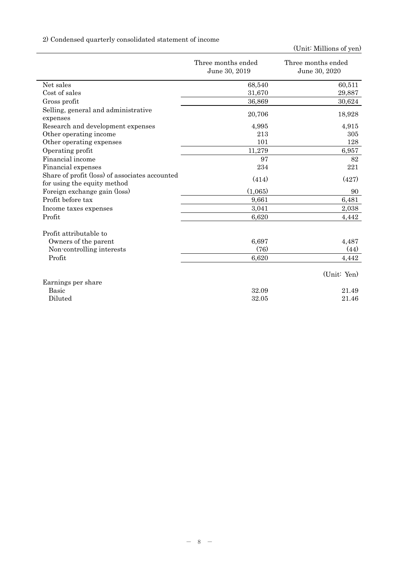# 2) Condensed quarterly consolidated statement of income

|                                                                               | Three months ended<br>June 30, 2019 | Three months ended<br>June 30, 2020 |
|-------------------------------------------------------------------------------|-------------------------------------|-------------------------------------|
| Net sales                                                                     | 68,540                              | 60,511                              |
| Cost of sales                                                                 | 31,670                              | 29,887                              |
| Gross profit                                                                  | 36,869                              | 30,624                              |
| Selling, general and administrative<br>expenses                               | 20,706                              | 18,928                              |
| Research and development expenses                                             | 4,995                               | 4,915                               |
| Other operating income                                                        | 213                                 | 305                                 |
| Other operating expenses                                                      | 101                                 | 128                                 |
| Operating profit                                                              | 11,279                              | 6,957                               |
| Financial income                                                              | 97                                  | 82                                  |
| Financial expenses                                                            | 234                                 | 221                                 |
| Share of profit (loss) of associates accounted<br>for using the equity method | (414)                               | (427)                               |
| Foreign exchange gain (loss)                                                  | (1,065)                             | 90                                  |
| Profit before tax                                                             | 9,661                               | 6,481                               |
| Income taxes expenses                                                         | 3,041                               | 2,038                               |
| Profit                                                                        | 6,620                               | 4,442                               |
| Profit attributable to                                                        |                                     |                                     |
| Owners of the parent                                                          | 6,697                               | 4,487                               |
| Non-controlling interests                                                     | (76)                                | (44)                                |
| Profit                                                                        | 6,620                               | 4,442                               |
|                                                                               |                                     | (Unit: Yen)                         |
| Earnings per share                                                            |                                     |                                     |
| <b>Basic</b>                                                                  | 32.09                               | 21.49                               |
| Diluted                                                                       | 32.05                               | 21.46                               |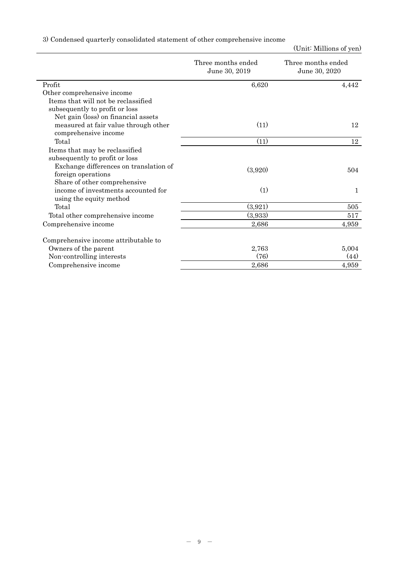|  | 3) Condensed quarterly consolidated statement of other comprehensive income |  |  |  |
|--|-----------------------------------------------------------------------------|--|--|--|
|  |                                                                             |  |  |  |

|                                                              | Three months ended<br>June 30, 2019 | Three months ended<br>June 30, 2020 |
|--------------------------------------------------------------|-------------------------------------|-------------------------------------|
| Profit                                                       | 6,620                               | 4,442                               |
| Other comprehensive income                                   |                                     |                                     |
| Items that will not be reclassified                          |                                     |                                     |
| subsequently to profit or loss                               |                                     |                                     |
| Net gain (loss) on financial assets                          |                                     |                                     |
| measured at fair value through other<br>comprehensive income | (11)                                | 12                                  |
| Total                                                        | (11)                                | 12                                  |
| Items that may be reclassified                               |                                     |                                     |
| subsequently to profit or loss                               |                                     |                                     |
| Exchange differences on translation of                       | (3,920)                             |                                     |
| foreign operations                                           |                                     | 504                                 |
| Share of other comprehensive                                 |                                     |                                     |
| income of investments accounted for                          | (1)                                 | 1                                   |
| using the equity method                                      |                                     |                                     |
| Total                                                        | (3,921)                             | 505                                 |
| Total other comprehensive income                             | (3,933)                             | 517                                 |
| Comprehensive income                                         | 2,686                               | 4,959                               |
| Comprehensive income attributable to                         |                                     |                                     |
| Owners of the parent                                         | 2,763                               | 5,004                               |
| Non-controlling interests                                    | (76)                                | (44)                                |
| Comprehensive income                                         | 2,686                               | 4,959                               |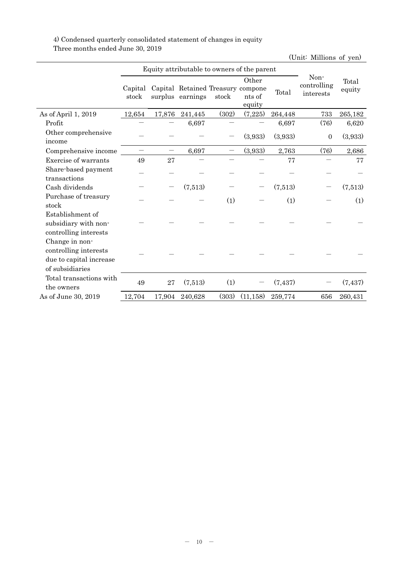### 4) Condensed quarterly consolidated statement of changes in equity Three months ended June 30, 2019

Equity attributable to owners of the parent Noncontrolling interests Total Capital Capital Retained Treasury compone  $\frac{\text{concribing}}{\text{Total}}$  equity stock surplus earnings stock **Other** nts of equity Total As of April 1, 2019 12,654 17,876 241,445 (302) (7,225) 264,448 733 265,182 Profit  $6,697$   $6,697$   $(76)$   $6,620$ Other comprehensive income  $(3,933)$   $(3,933)$   $(0,933)$ Comprehensive income  $6,697$   $(3,933)$   $2,763$   $(76)$   $2,686$ Exercise of warrants  $49 \t 27 \t - \t - \t - \t 77 \t - \t 77$ Share-based payment transactions - - - - - - - - Cash dividends  $(7.513)$   $(7.513)$   $(7.513)$ Purchase of treasury stock  $-$  (1)  $-$  (1)  $-$  (1) Establishment of subsidiary with noncontrolling interests - - - - - - - - Change in noncontrolling interests due to capital increase of subsidiaries - - - - - - - - Total transactions with the owners that is actions with  $49$  27 (7,513) (1) - (7,437) - (7,437) As of June 30, 2019 12,704 17,904 240,628 (303) (11,158) 259,774 656 260,431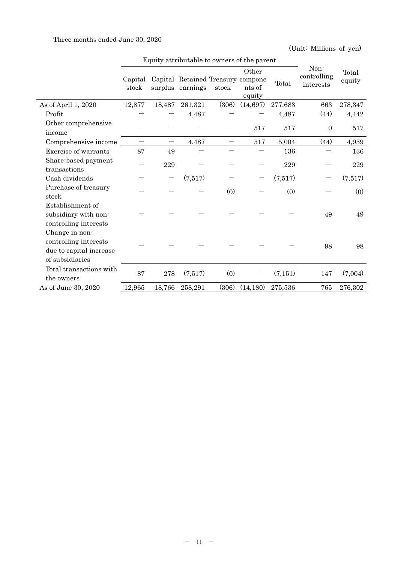|                                                                                       |                  | Equity attributable to owners of the parent |                                                       |                          |                           |         |                                  |                 |
|---------------------------------------------------------------------------------------|------------------|---------------------------------------------|-------------------------------------------------------|--------------------------|---------------------------|---------|----------------------------------|-----------------|
|                                                                                       | Capital<br>stock |                                             | Capital Retained Treasury compone<br>surplus earnings | stock                    | Other<br>nts of<br>equity | Total   | Non-<br>controlling<br>interests | Total<br>equity |
| As of April 1, 2020                                                                   | 12,877           | 18,487                                      | 261,321                                               | (306)                    | (14, 697)                 | 277,683 | 663                              | 278,347         |
| Profit                                                                                |                  |                                             | 4,487                                                 |                          |                           | 4,487   | (44)                             | 4,442           |
| Other comprehensive<br>income                                                         |                  |                                             |                                                       |                          | 517                       | 517     | $\overline{0}$                   | 517             |
| Comprehensive income                                                                  |                  |                                             | 4,487                                                 | $\overline{\phantom{0}}$ | 517                       | 5,004   | (44)                             | 4,959           |
| Exercise of warrants                                                                  | 87               | 49                                          |                                                       |                          |                           | 136     |                                  | 136             |
| Share-based payment<br>transactions                                                   |                  | 229                                         |                                                       |                          |                           | 229     |                                  | 229             |
| Cash dividends                                                                        |                  |                                             | (7,517)                                               |                          |                           | (7,517) |                                  | (7,517)         |
| Purchase of treasury<br>stock                                                         |                  |                                             |                                                       | (0)                      |                           | (0)     |                                  | (0)             |
| Establishment of<br>subsidiary with non-<br>controlling interests                     |                  |                                             |                                                       |                          |                           |         | 49                               | 49              |
| Change in non-<br>controlling interests<br>due to capital increase<br>of subsidiaries |                  |                                             |                                                       |                          |                           |         | 98                               | 98              |
| Total transactions with<br>the owners                                                 | 87               | 278                                         | (7,517)                                               | (0)                      |                           | (7,151) | 147                              | (7,004)         |
| As of June 30, 2020                                                                   | 12,965           | 18,766                                      | 258,291                                               | (306)                    | (14, 180)                 | 275,536 | 765                              | 276,302         |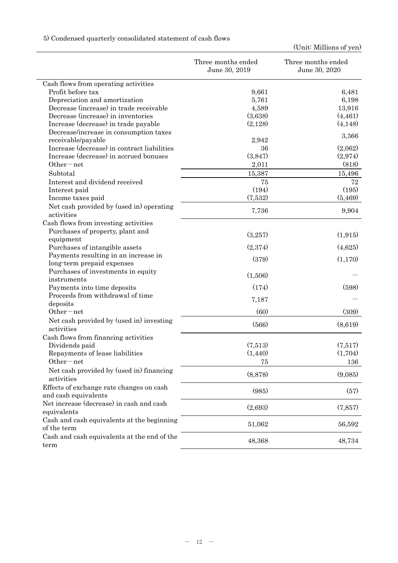|                                             | Three months ended<br>June 30, 2019 | Three months ended<br>June 30, 2020 |
|---------------------------------------------|-------------------------------------|-------------------------------------|
| Cash flows from operating activities        |                                     |                                     |
| Profit before tax                           | 9,661                               | 6,481                               |
| Depreciation and amortization               | 5,761                               | 6,198                               |
| Decrease (increase) in trade receivable     | 4,589                               | 13,916                              |
| Decrease (increase) in inventories          | (3,638)                             | (4, 461)                            |
| Increase (decrease) in trade payable        | (2,128)                             | (4,148)                             |
| Decrease/increase in consumption taxes      |                                     |                                     |
| receivable/payable                          | 2,942                               | 3,366                               |
| Increase (decrease) in contract liabilities | 36                                  | (2,062)                             |
| Increase (decrease) in accrued bonuses      | (3,847)                             | (2,974)                             |
| Other $-$ net                               | 2,011                               | (818)                               |
| Subtotal                                    | 15,387                              | 15,496                              |
| Interest and dividend received              | 75                                  | 72                                  |
| Interest paid                               | (194)                               | (195)                               |
| Income taxes paid                           | (7,532)                             | (5,469)                             |
| Net cash provided by (used in) operating    |                                     |                                     |
| activities                                  | 7,736                               | 9,904                               |
| Cash flows from investing activities        |                                     |                                     |
| Purchases of property, plant and            |                                     |                                     |
| equipment                                   | (3,257)                             | (1,915)                             |
| Purchases of intangible assets              | (2,374)                             | (4,625)                             |
| Payments resulting in an increase in        |                                     |                                     |
| long-term prepaid expenses                  | (379)                               | (1,170)                             |
| Purchases of investments in equity          |                                     |                                     |
| instruments                                 | (1,506)                             |                                     |
| Payments into time deposits                 | (174)                               | (598)                               |
| Proceeds from withdrawal of time            |                                     |                                     |
| deposits                                    | 7,187                               |                                     |
| Other-net                                   | (60)                                | (309)                               |
| Net cash provided by (used in) investing    |                                     |                                     |
| activities                                  | (566)                               | (8,619)                             |
| Cash flows from financing activities        |                                     |                                     |
| Dividends paid                              | (7,513)                             | (7,517)                             |
| Repayments of lease liabilities             | (1, 440)                            | (1,704)                             |
| $Other-net$                                 | 75                                  | 136                                 |
| Net cash provided by (used in) financing    |                                     |                                     |
| activities                                  | (8,878)                             | (9,085)                             |
| Effects of exchange rate changes on cash    |                                     |                                     |
| and cash equivalents                        | (985)                               | (57)                                |
| Net increase (decrease) in cash and cash    |                                     |                                     |
| equivalents                                 | (2,693)                             | (7, 857)                            |
| Cash and cash equivalents at the beginning  |                                     |                                     |
| of the term                                 | 51,062                              | 56,592                              |
| Cash and cash equivalents at the end of the |                                     |                                     |
| term                                        | 48,368                              | 48,734                              |

# 5) Condensed quarterly consolidated statement of cash flows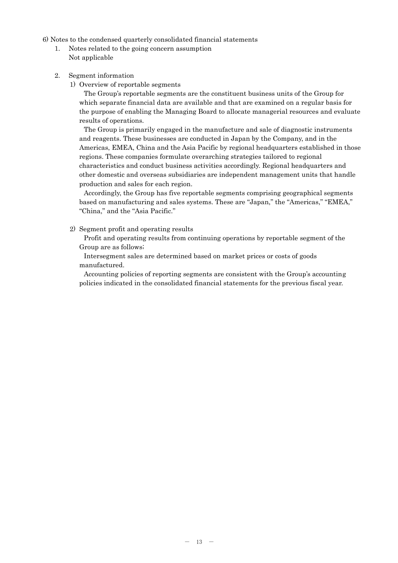6) Notes to the condensed quarterly consolidated financial statements

- 1. Notes related to the going concern assumption Not applicable
- 2. Segment information
	- 1) Overview of reportable segments

The Group's reportable segments are the constituent business units of the Group for which separate financial data are available and that are examined on a regular basis for the purpose of enabling the Managing Board to allocate managerial resources and evaluate results of operations.

The Group is primarily engaged in the manufacture and sale of diagnostic instruments and reagents. These businesses are conducted in Japan by the Company, and in the Americas, EMEA, China and the Asia Pacific by regional headquarters established in those regions. These companies formulate overarching strategies tailored to regional characteristics and conduct business activities accordingly. Regional headquarters and other domestic and overseas subsidiaries are independent management units that handle production and sales for each region.

Accordingly, the Group has five reportable segments comprising geographical segments based on manufacturing and sales systems. These are "Japan," the "Americas," "EMEA," "China," and the "Asia Pacific."

2) Segment profit and operating results

Profit and operating results from continuing operations by reportable segment of the Group are as follows;

Intersegment sales are determined based on market prices or costs of goods manufactured.

Accounting policies of reporting segments are consistent with the Group's accounting policies indicated in the consolidated financial statements for the previous fiscal year.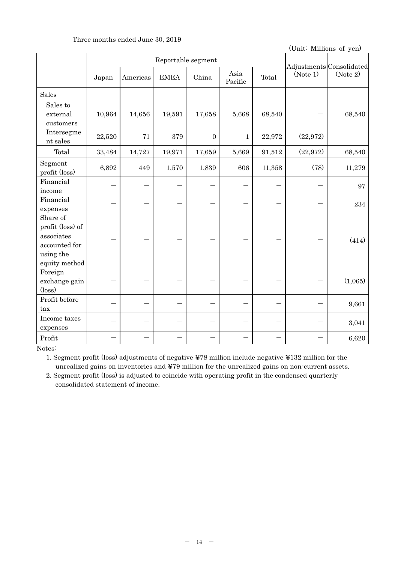### Three months ended June 30, 2019

(Unit: Millions of yen)

|                                                                                           | Reportable segment |          |             |                |                 |        |           | Adjustments Consolidated |
|-------------------------------------------------------------------------------------------|--------------------|----------|-------------|----------------|-----------------|--------|-----------|--------------------------|
|                                                                                           | Japan              | Americas | <b>EMEA</b> | China          | Asia<br>Pacific | Total  | (Note 1)  | (Note 2)                 |
| <b>Sales</b>                                                                              |                    |          |             |                |                 |        |           |                          |
| Sales to<br>external<br>customers                                                         | 10,964             | 14,656   | 19,591      | 17,658         | 5,668           | 68,540 |           | 68,540                   |
| Intersegme<br>nt sales                                                                    | 22,520             | 71       | 379         | $\overline{0}$ | $\mathbf 1$     | 22,972 | (22, 972) |                          |
| Total                                                                                     | 33,484             | 14,727   | 19,971      | 17,659         | 5,669           | 91,512 | (22,972)  | 68,540                   |
| Segment<br>profit (loss)                                                                  | 6,892              | 449      | 1,570       | 1,839          | 606             | 11,358 | (78)      | 11,279                   |
| Financial                                                                                 |                    |          |             |                |                 |        |           | 97                       |
| income<br>Financial<br>expenses                                                           |                    |          |             |                |                 |        |           | 234                      |
| Share of<br>profit (loss) of<br>associates<br>accounted for<br>using the<br>equity method |                    |          |             |                |                 |        |           | (414)                    |
| Foreign<br>exchange gain<br>$(\text{loss})$                                               |                    |          |             |                |                 |        |           | (1,065)                  |
| Profit before<br>tax                                                                      |                    |          |             |                |                 |        |           | 9,661                    |
| Income taxes<br>expenses                                                                  |                    |          |             |                |                 |        |           | 3,041                    |
| Profit                                                                                    |                    |          |             |                |                 |        |           | 6,620                    |

Notes:

1. Segment profit (loss) adjustments of negative ¥78 million include negative ¥132 million for the unrealized gains on inventories and ¥79 million for the unrealized gains on non-current assets.

2. Segment profit (loss) is adjusted to coincide with operating profit in the condensed quarterly consolidated statement of income.